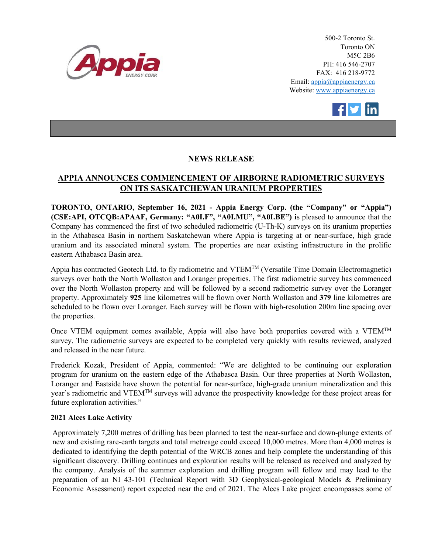

500-2 Toronto St. Toronto ON M5C 2B6 PH: 416 546-2707 FAX: 416 218-9772 Email: appia@appiaenergy.ca Website: www.appiaenergy.ca



## **NEWS RELEASE**

## **APPIA ANNOUNCES COMMENCEMENT OF AIRBORNE RADIOMETRIC SURVEYS ON ITS SASKATCHEWAN URANIUM PROPERTIES**

**TORONTO, ONTARIO, September 16, 2021 - Appia Energy Corp. (the "Company" or "Appia") (CSE:API, OTCQB:APAAF, Germany: "A0I.F", "A0I.MU", "A0I.BE") i**s pleased to announce that the Company has commenced the first of two scheduled radiometric (U-Th-K) surveys on its uranium properties in the Athabasca Basin in northern Saskatchewan where Appia is targeting at or near-surface, high grade uranium and its associated mineral system. The properties are near existing infrastructure in the prolific eastern Athabasca Basin area.

Appia has contracted Geotech Ltd. to fly radiometric and  $VTEM^{TM}$  (Versatile Time Domain Electromagnetic) surveys over both the North Wollaston and Loranger properties. The first radiometric survey has commenced over the North Wollaston property and will be followed by a second radiometric survey over the Loranger property. Approximately **925** line kilometres will be flown over North Wollaston and **379** line kilometres are scheduled to be flown over Loranger. Each survey will be flown with high-resolution 200m line spacing over the properties.

Once VTEM equipment comes available, Appia will also have both properties covered with a VTEM<sup>TM</sup> survey. The radiometric surveys are expected to be completed very quickly with results reviewed, analyzed and released in the near future.

Frederick Kozak, President of Appia, commented: "We are delighted to be continuing our exploration program for uranium on the eastern edge of the Athabasca Basin. Our three properties at North Wollaston, Loranger and Eastside have shown the potential for near-surface, high-grade uranium mineralization and this year's radiometric and VTEMTM surveys will advance the prospectivity knowledge for these project areas for future exploration activities."

## **2021 Alces Lake Activity**

Approximately 7,200 metres of drilling has been planned to test the near-surface and down-plunge extents of new and existing rare-earth targets and total metreage could exceed 10,000 metres. More than 4,000 metres is dedicated to identifying the depth potential of the WRCB zones and help complete the understanding of this significant discovery. Drilling continues and exploration results will be released as received and analyzed by the company. Analysis of the summer exploration and drilling program will follow and may lead to the preparation of an NI 43-101 (Technical Report with 3D Geophysical-geological Models & Preliminary Economic Assessment) report expected near the end of 2021. The Alces Lake project encompasses some of